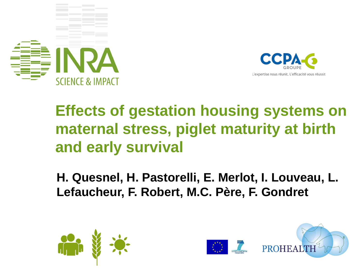



### **Effects of gestation housing systems on maternal stress, piglet maturity at birth and early survival**

**H. Quesnel, H. Pastorelli, E. Merlot, I. Louveau, L. Lefaucheur, F. Robert, M.C. Père, F. Gondret**



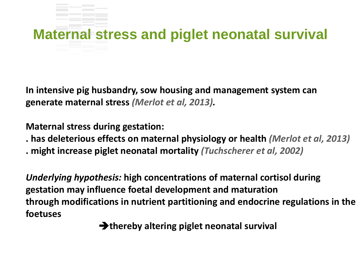# **Maternal stress and piglet neonatal survival**

**In intensive pig husbandry, sow housing and management system can generate maternal stress** *(Merlot et al, 2013).*

**Maternal stress during gestation:** 

- **. has deleterious effects on maternal physiology or health** *(Merlot et al, 2013)*
- **. might increase piglet neonatal mortality** *(Tuchscherer et al, 2002)*

*Underlying hypothesis:* **high concentrations of maternal cortisol during gestation may influence foetal development and maturation through modifications in nutrient partitioning and endocrine regulations in the foetuses** 

**Example 13** thereby altering piglet neonatal survival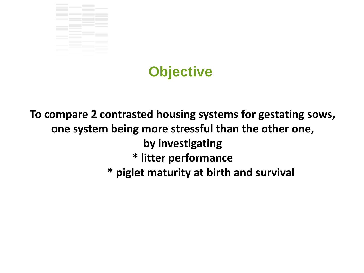



**To compare 2 contrasted housing systems for gestating sows, one system being more stressful than the other one, by investigating \* litter performance \* piglet maturity at birth and survival**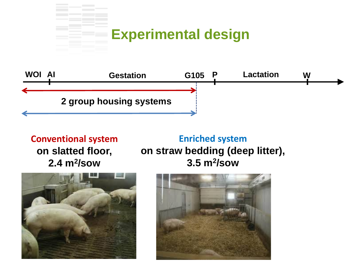#### **Experimental design**



#### **Conventional system on slatted floor, 2.4 m2/sow**

**Enriched system on straw bedding (deep litter), 3.5 m2/sow**



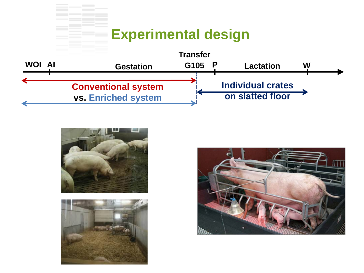#### **Experimental design**







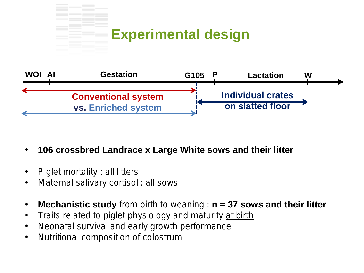#### **Experimental design**



- **106 crossbred Landrace x Large White sows and their litter**
- Piglet mortality : all litters
- Maternal salivary cortisol : all sows
- **Mechanistic study** from birth to weaning : **n = 37 sows and their litter**
- Traits related to piglet physiology and maturity at birth
- Neonatal survival and early growth performance
- Nutritional composition of colostrum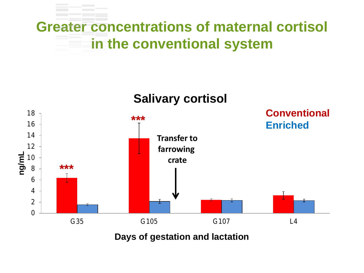### **Greater concentrations of maternal cortisol in the conventional system**





**Days of gestation and lactation**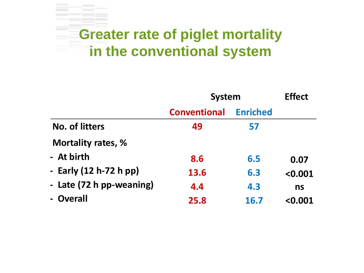#### **Greater rate of piglet mortality in the conventional system**

|                          | <b>System</b>       |                 | <b>Effect</b> |  |
|--------------------------|---------------------|-----------------|---------------|--|
|                          | <b>Conventional</b> | <b>Enriched</b> |               |  |
| No. of litters           | 49                  | 57              |               |  |
| Mortality rates, %       |                     |                 |               |  |
| - At birth               | 8.6                 | 6.5             | 0.07          |  |
| - Early (12 h-72 h pp)   | 13.6                | 6.3             | < 0.001       |  |
| - Late (72 h pp-weaning) | 4.4                 | 4.3             | ns            |  |
| - Overall                | 25.8                | 16.7            | < 0.001       |  |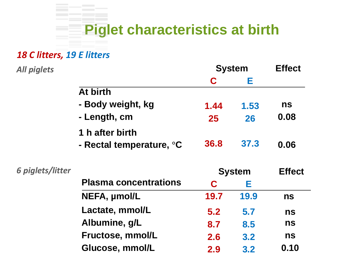### **Piglet characteristics at birth**

#### *18 C litters, 19 E litters*

| All piglets      |                              | <b>System</b> |      | <b>Effect</b> |
|------------------|------------------------------|---------------|------|---------------|
|                  |                              | C             | Е    |               |
|                  | At birth                     |               |      |               |
|                  | - Body weight, kg            | 1.44          | 1.53 | ns            |
|                  | - Length, cm                 | 25            | 26   | 0.08          |
|                  | 1 h after birth              |               |      |               |
|                  | - Rectal temperature, °C     | 36.8          | 37.3 | 0.06          |
| 6 piglets/litter |                              | <b>System</b> |      | <b>Effect</b> |
|                  | <b>Plasma concentrations</b> | C             | Е    |               |
|                  | NEFA, umol/L                 | 19.7          | 19.9 | <b>ns</b>     |
|                  | Lactate, mmol/L              | 5.2           | 5.7  | ns            |
|                  | Albumine, g/L                | 8.7           | 8.5  | ns            |
|                  | Fructose, mmol/L             | 2.6           | 3.2  | ns            |
|                  |                              |               |      |               |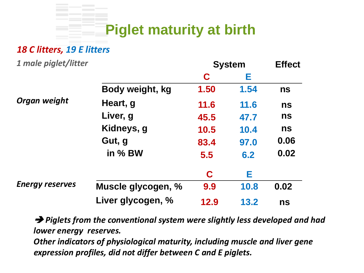

#### *18 C litters, 19 E litters*

| 1 male piglet/litter   |                    | <b>System</b> |      | <b>Effect</b> |
|------------------------|--------------------|---------------|------|---------------|
|                        |                    | C             | Е    |               |
|                        | Body weight, kg    | 1.50          | 1.54 | ns            |
| Organ weight           | Heart, g           | 11.6          | 11.6 | ns            |
|                        | Liver, g           | 45.5          | 47.7 | ns            |
|                        | Kidneys, g         | 10.5          | 10.4 | ns            |
|                        | Gut, g             | 83.4          | 97.0 | 0.06          |
|                        | in % BW            | 5.5           | 6.2  | 0.02          |
|                        |                    | C             | Е    |               |
| <b>Energy reserves</b> | Muscle glycogen, % | 9.9           | 10.8 | 0.02          |
|                        | Liver glycogen, %  | 12.9          | 13.2 | ns            |

 *Piglets from the conventional system were slightly less developed and had lower energy reserves.*

*Other indicators of physiological maturity, including muscle and liver gene expression profiles, did not differ between C and E piglets.*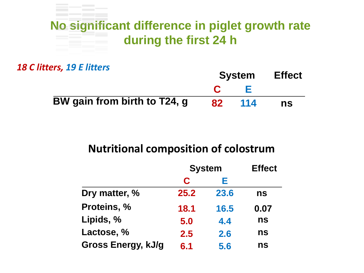### **No significant difference in piglet growth rate during the first 24 h**

*18 C litters, 19 E litters*

|                              | <b>System</b> |        | <b>Effect</b> |
|------------------------------|---------------|--------|---------------|
|                              |               |        |               |
| BW gain from birth to T24, g | <b>82</b>     | $-114$ | ns            |

#### **Nutritional composition of colostrum**

|                    | <b>System</b> |      | <b>Effect</b> |
|--------------------|---------------|------|---------------|
|                    | C             | Е    |               |
| Dry matter, %      | 25.2          | 23.6 | ns            |
| Proteins, %        | 18.1          | 16.5 | 0.07          |
| Lipids, %          | 5.0           | 4.4  | ns            |
| Lactose, %         | 2.5           | 2.6  | ns            |
| Gross Energy, kJ/g | 6.1           | 5.6  | ns            |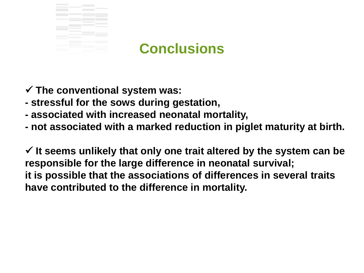

#### **Conclusions**

**The conventional system was:**

- **- stressful for the sows during gestation,**
- **- associated with increased neonatal mortality,**
- **- not associated with a marked reduction in piglet maturity at birth.**

 **It seems unlikely that only one trait altered by the system can be responsible for the large difference in neonatal survival; it is possible that the associations of differences in several traits have contributed to the difference in mortality.**